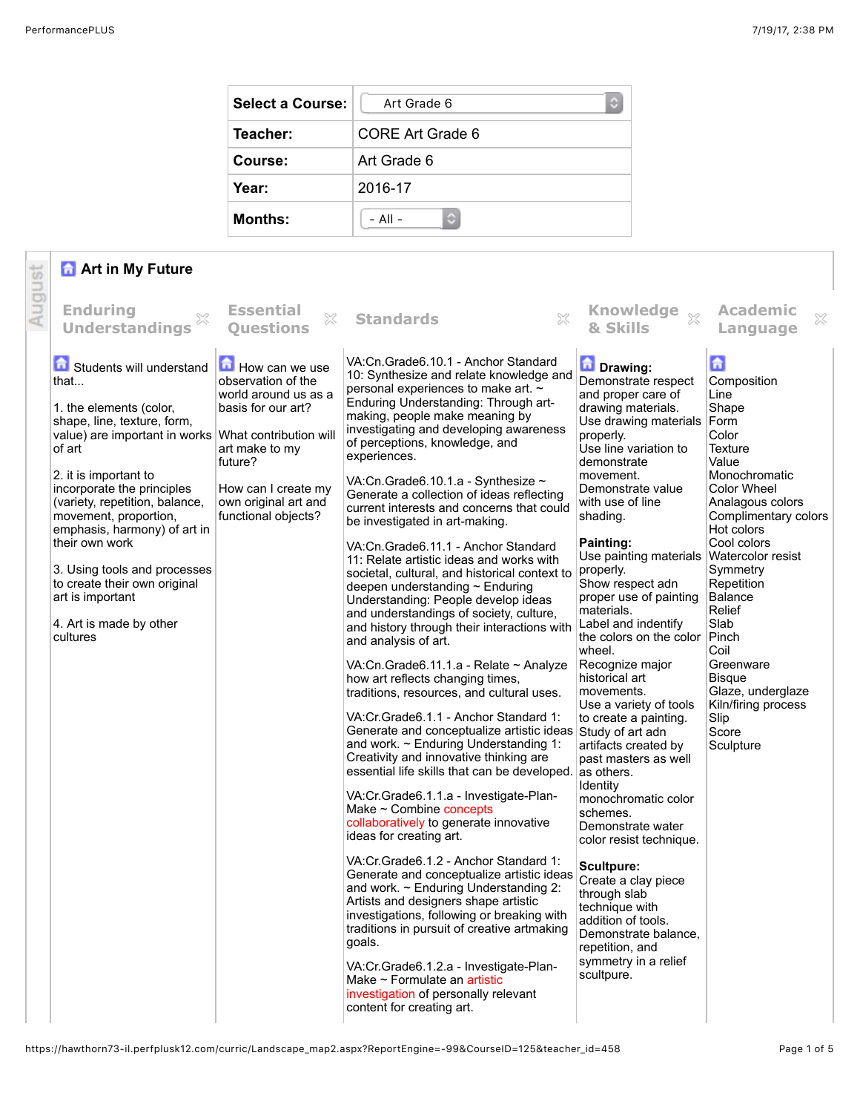| <b>Select a Course:</b> | Art Grade 6            |
|-------------------------|------------------------|
| Teacher:                | CORE Art Grade 6       |
| Course:                 | Art Grade 6            |
| Year:                   | 2016-17                |
| <b>Months:</b>          | $-$ All $-$<br>$\odot$ |

## **Art in My Future**

|        | <b>a</b> Art in My Future                                                                                                                                                                                                                                                                                                                                                                                                            |                                                                                                                                                                                                                 |                                                                                                                                                                                                                                                                                                                                                                                                                                                                                                                                                                                                                                                                                                                                                                                                                                                                                                                                                                                                                                                                                                                                                                                                                                                                                                                                                                                                                                                                                                                                                                                                                                                                                                                                                                  |                                                                                                                                                                                                                                                                                                                                                                                                                                                                                                                                                                                                                                                                                                                                                                                                                                                                                        |                                                                                                                                                                                                                                                                                                                                                                                  |
|--------|--------------------------------------------------------------------------------------------------------------------------------------------------------------------------------------------------------------------------------------------------------------------------------------------------------------------------------------------------------------------------------------------------------------------------------------|-----------------------------------------------------------------------------------------------------------------------------------------------------------------------------------------------------------------|------------------------------------------------------------------------------------------------------------------------------------------------------------------------------------------------------------------------------------------------------------------------------------------------------------------------------------------------------------------------------------------------------------------------------------------------------------------------------------------------------------------------------------------------------------------------------------------------------------------------------------------------------------------------------------------------------------------------------------------------------------------------------------------------------------------------------------------------------------------------------------------------------------------------------------------------------------------------------------------------------------------------------------------------------------------------------------------------------------------------------------------------------------------------------------------------------------------------------------------------------------------------------------------------------------------------------------------------------------------------------------------------------------------------------------------------------------------------------------------------------------------------------------------------------------------------------------------------------------------------------------------------------------------------------------------------------------------------------------------------------------------|----------------------------------------------------------------------------------------------------------------------------------------------------------------------------------------------------------------------------------------------------------------------------------------------------------------------------------------------------------------------------------------------------------------------------------------------------------------------------------------------------------------------------------------------------------------------------------------------------------------------------------------------------------------------------------------------------------------------------------------------------------------------------------------------------------------------------------------------------------------------------------------|----------------------------------------------------------------------------------------------------------------------------------------------------------------------------------------------------------------------------------------------------------------------------------------------------------------------------------------------------------------------------------|
| August | <b>Enduring</b><br><b>Understandings</b>                                                                                                                                                                                                                                                                                                                                                                                             | <b>Essential</b><br>X<br><b>Ouestions</b>                                                                                                                                                                       | ×<br><b>Standards</b>                                                                                                                                                                                                                                                                                                                                                                                                                                                                                                                                                                                                                                                                                                                                                                                                                                                                                                                                                                                                                                                                                                                                                                                                                                                                                                                                                                                                                                                                                                                                                                                                                                                                                                                                            | & Skills                                                                                                                                                                                                                                                                                                                                                                                                                                                                                                                                                                                                                                                                                                                                                                                                                                                                               | <b>Academic</b><br>×<br>Language                                                                                                                                                                                                                                                                                                                                                 |
|        | Students will understand<br>that<br>1. the elements (color,<br>shape, line, texture, form,<br>value) are important in works<br>of art<br>2. it is important to<br>incorporate the principles<br>(variety, repetition, balance,<br>movement, proportion,<br>emphasis, harmony) of art in<br>their own work<br>3. Using tools and processes<br>to create their own original<br>art is important<br>4. Art is made by other<br>cultures | How can we use<br>observation of the<br>world around us as a<br>basis for our art?<br>What contribution will<br>art make to my<br>future?<br>How can I create my<br>own original art and<br>functional objects? | VA:Cn.Grade6.10.1 - Anchor Standard<br>10: Synthesize and relate knowledge and<br>personal experiences to make art. ~<br>Enduring Understanding: Through art-<br>making, people make meaning by<br>investigating and developing awareness<br>of perceptions, knowledge, and<br>experiences.<br>VA:Cn.Grade6.10.1.a - Synthesize ~<br>Generate a collection of ideas reflecting<br>current interests and concerns that could<br>be investigated in art-making.<br>VA:Cn.Grade6.11.1 - Anchor Standard<br>11: Relate artistic ideas and works with<br>societal, cultural, and historical context to<br>deepen understanding ~ Enduring<br>Understanding: People develop ideas<br>and understandings of society, culture,<br>and history through their interactions with<br>and analysis of art.<br>VA:Cn.Grade6.11.1.a - Relate ~ Analyze<br>how art reflects changing times,<br>traditions, resources, and cultural uses.<br>VA: Cr. Grade 6.1.1 - Anchor Standard 1:<br>Generate and conceptualize artistic ideas Study of art adn<br>and work. $\sim$ Enduring Understanding 1:<br>Creativity and innovative thinking are<br>essential life skills that can be developed.<br>VA:Cr.Grade6.1.1.a - Investigate-Plan-<br>Make $\sim$ Combine concepts<br>collaboratively to generate innovative<br>ideas for creating art.<br>VA:Cr.Grade6.1.2 - Anchor Standard 1:<br>Generate and conceptualize artistic ideas<br>and work. $\sim$ Enduring Understanding 2:<br>Artists and designers shape artistic<br>investigations, following or breaking with<br>traditions in pursuit of creative artmaking<br>goals.<br>VA:Cr.Grade6.1.2.a - Investigate-Plan-<br>Make $\sim$ Formulate an artistic<br>investigation of personally relevant<br>content for creating art. | Drawing:<br>Demonstrate respect<br>and proper care of<br>drawing materials.<br>Use drawing materials Form<br>properly.<br>Use line variation to<br>demonstrate<br>movement.<br>Demonstrate value<br>with use of line<br>shading.<br>Painting:<br>Use painting materials Watercolor resist<br>properly.<br>Show respect adn<br>proper use of painting<br>materials.<br>Label and indentify<br>the colors on the color<br>wheel.<br>Recognize major<br>historical art<br>movements.<br>Use a variety of tools<br>to create a painting.<br>artifacts created by<br>past masters as well<br>as others.<br>Identity<br>monochromatic color<br>schemes.<br>Demonstrate water<br>color resist technique.<br><b>Scultpure:</b><br>Create a clay piece<br>through slab<br>technique with<br>addition of tools.<br>Demonstrate balance,<br>repetition, and<br>symmetry in a relief<br>scultpure. | $\mathbf{G}$<br>Composition<br>Line<br>Shape<br>Color<br><b>Texture</b><br>Value<br>Monochromatic<br><b>Color Wheel</b><br>Analagous colors<br>Complimentary colors<br>Hot colors<br>Cool colors<br>Symmetry<br>Repetition<br>Balance<br>Relief<br>Slab<br>Pinch<br>Coil<br>Greenware<br><b>Bisque</b><br>Glaze, underglaze<br>Kiln/firing process<br>Slip<br>Score<br>Sculpture |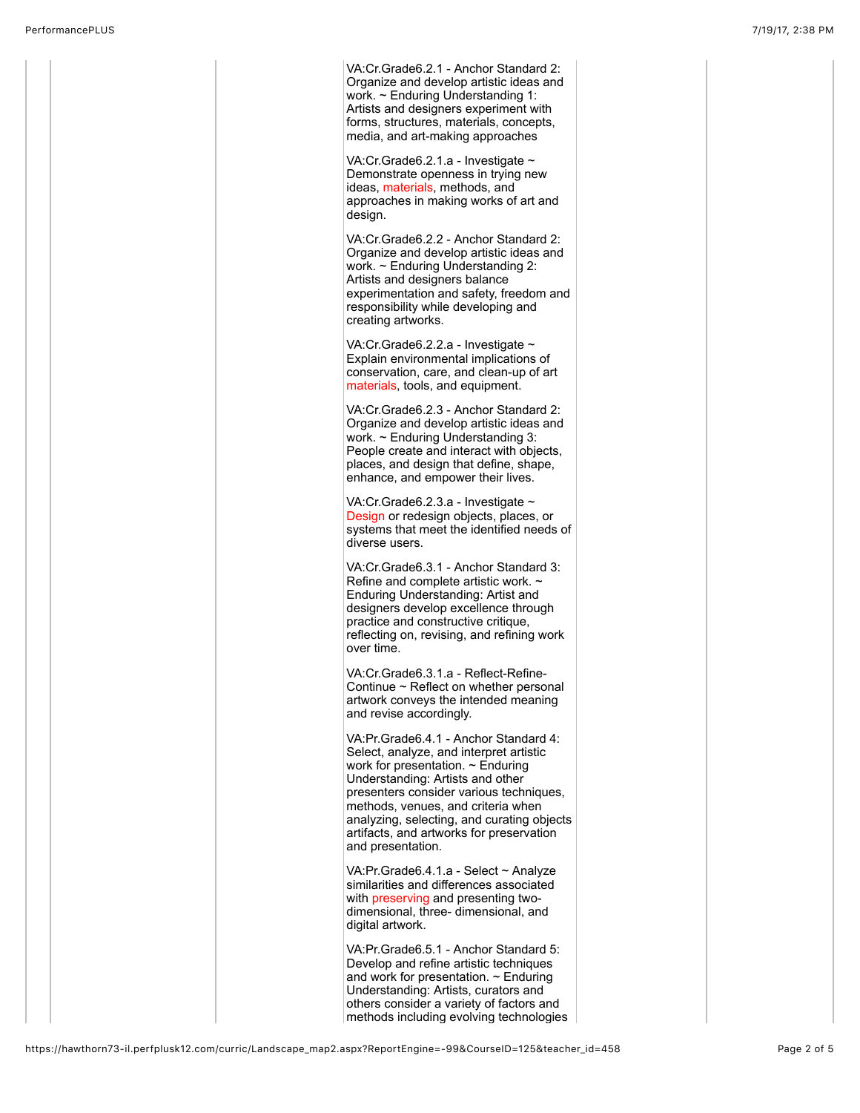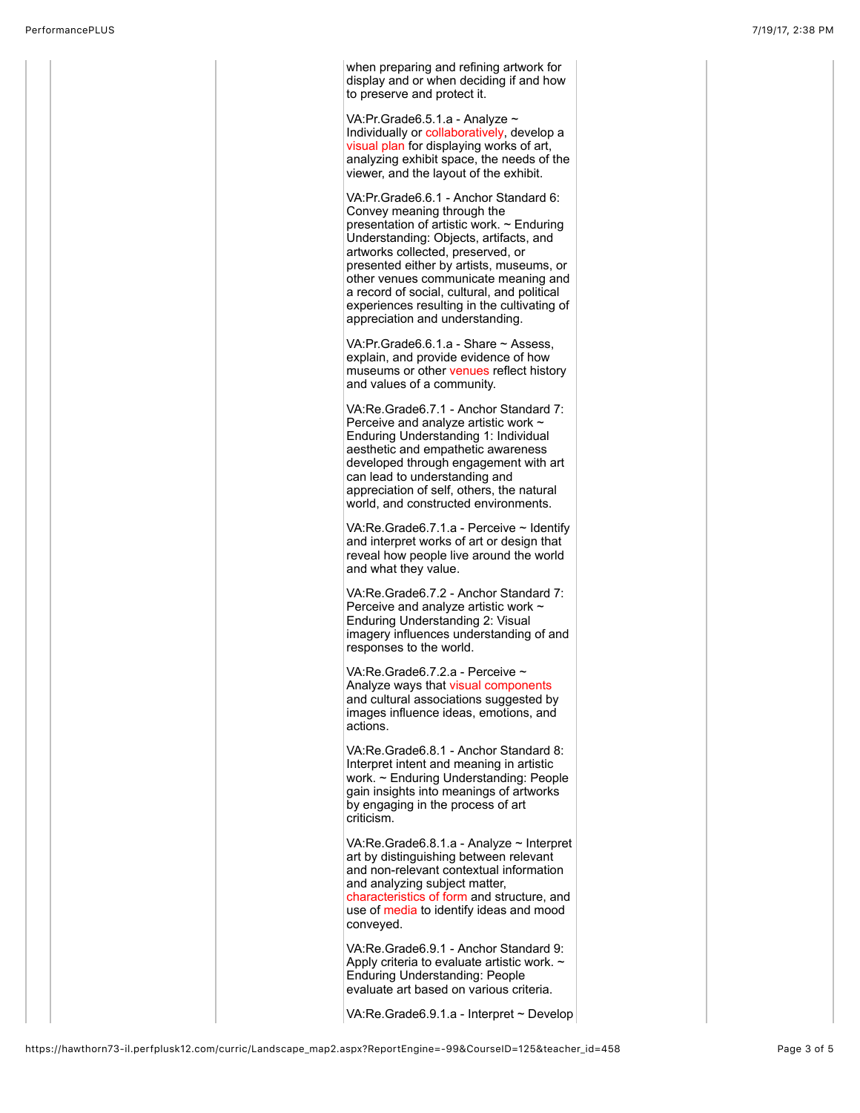when preparing and refining artwork for display and or when deciding if and how to preserve and protect it.

VA:Pr.Grade6.5.1.a - Analyze ~ Individually or collaboratively, develop a visual plan for displaying works of art, analyzing exhibit space, the needs of the viewer, and the layout of the exhibit.

VA:Pr.Grade6.6.1 - Anchor Standard 6: Convey meaning through the presentation of artistic work. ~ Enduring Understanding: Objects, artifacts, and artworks collected, preserved, or presented either by artists, museums, or other venues communicate meaning and a record of social, cultural, and political experiences resulting in the cultivating of appreciation and understanding.

VA:Pr.Grade6.6.1.a - Share ~ Assess, explain, and provide evidence of how museums or other venues reflect history and values of a community.

VA:Re.Grade6.7.1 - Anchor Standard 7: Perceive and analyze artistic work ~ Enduring Understanding 1: Individual aesthetic and empathetic awareness developed through engagement with art can lead to understanding and appreciation of self, others, the natural world, and constructed environments.

VA:Re.Grade6.7.1.a - Perceive ~ Identify and interpret works of art or design that reveal how people live around the world and what they value.

VA:Re.Grade6.7.2 - Anchor Standard 7: Perceive and analyze artistic work ~ Enduring Understanding 2: Visual imagery influences understanding of and responses to the world.

VA:Re.Grade6.7.2.a - Perceive ~ Analyze ways that visual components and cultural associations suggested by images influence ideas, emotions, and actions.

VA:Re.Grade6.8.1 - Anchor Standard 8: Interpret intent and meaning in artistic work. ~ Enduring Understanding: People gain insights into meanings of artworks by engaging in the process of art criticism.

VA:Re.Grade6.8.1.a - Analyze ~ Interpret art by distinguishing between relevant and non-relevant contextual information and analyzing subject matter, characteristics of form and structure, and use of media to identify ideas and mood conveyed.

VA:Re.Grade6.9.1 - Anchor Standard 9: Apply criteria to evaluate artistic work. ~ Enduring Understanding: People evaluate art based on various criteria.

VA:Re.Grade6.9.1.a - Interpret ~ Develop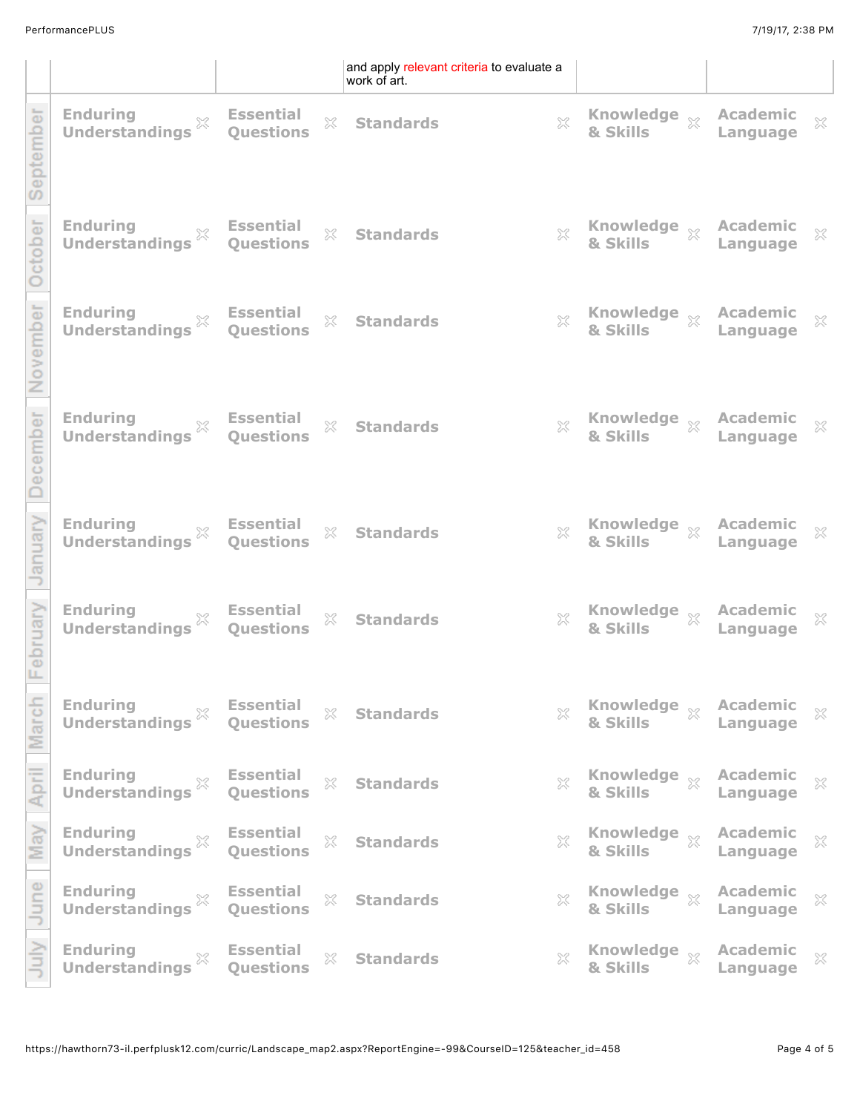|             |                                                                                                                 |                                                                       | and apply relevant criteria to evaluate a<br>work of art. |                                                                                                                                                                                                                                    |                                           |              |
|-------------|-----------------------------------------------------------------------------------------------------------------|-----------------------------------------------------------------------|-----------------------------------------------------------|------------------------------------------------------------------------------------------------------------------------------------------------------------------------------------------------------------------------------------|-------------------------------------------|--------------|
| ember       | <b>Enduring</b><br><b>Enduring</b><br>Understandings $\%$ <b>Essential</b><br>Questions                         |                                                                       | $\%$ Standards                                            | <b>Example 28 Solution State Set Section</b><br><b>Example 3 Skills</b><br><b>Example 2 Skills</b><br><b>Example 2 Skills</b>                                                                                                      |                                           | $\mathbb{X}$ |
| <b>Lope</b> | Enduring<br>Understandings $\%$ Essential<br>Understandings Questions                                           |                                                                       | $\%$ Standards                                            | <b>Example Serve Academic Serve Academic Serve Academic Serve Academic Serve</b> Academic Serve                                                                                                                                    |                                           |              |
| ovember     | Enduring $\mathbb{R}$ Essential<br>Understandings $\mathbb{R}$ Questions                                        |                                                                       | $\%$ Standards                                            | <b>Example 23 Manual State Set Skills</b> Manuage Manuage                                                                                                                                                                          |                                           | $\mathbb{X}$ |
| cember      | Enduring $\mathbb X$ Essential<br>Understandings $\mathbb X$ Questions                                          |                                                                       | $\%$ Standards                                            | <b>Example Serve Academic Example 32</b><br><b>&amp; Skills Example 32</b>                                                                                                                                                         |                                           |              |
|             | Enduring $\mathbb{R}$ Essential<br>Understandings $\mathbb{R}$ Questions                                        |                                                                       | $\%$ Standards                                            | <b>Example 23 Manufa</b> Supering Managenesia Supering Managenesia Supering Managenesia Supering Managenesia Supering Managenesia Supering Managenesia Supering Managenesia Supering Managenesia Supering Managenesia Supering Man |                                           | $\mathbb{X}$ |
| oruary      | <b>Enduring</b><br><b>Enduring <math>\frac{1}{2}</math></b> Essential<br>Understandings $\frac{1}{2}$ Questions |                                                                       | $\%$ Standards                                            | <b>Example Serve Academic</b> $\mathbb{X}$<br><b>8. Skills Example Academic</b> $\mathbb{X}$                                                                                                                                       |                                           |              |
|             | <b>Enduring</b><br>Understandings <sup>26</sup>                                                                 | $\begin{matrix} \times \\ \end{matrix}$ Essential<br><b>Questions</b> | $\%$ Standards                                            | $\%$ Knowledge $\%$ Academic<br>& Skills Language                                                                                                                                                                                  |                                           | $\mathbb{X}$ |
|             | Enduring<br>Understandings $\stackrel{\otimes}{\sim}$<br>$\mathbb{X}$                                           | <b>Essential</b><br><b>Ouestions</b>                                  | $\%$ Standards                                            | $\%$ Knowledge $\%$ Academic<br>& Skills $\%$ Language                                                                                                                                                                             |                                           | $\rm \%$     |
| ಸ           | <b>Enduring</b><br>$\%$<br><b>Understandings</b>                                                                | <b>Essential</b><br>$\mathbb{S}^2$<br><b>Questions</b>                | <b>Standards</b>                                          | $\%$ Knowledge $\%$ Academic<br>& Skills Language                                                                                                                                                                                  |                                           | 53           |
| June        | <b>Enduring</b><br>$\%$<br><b>Understandings</b>                                                                | <b>Essential</b><br>$\mathbb{S}^\mathbb{C}$<br>Questions              | <b>Standards</b>                                          | $\%$ Knowledge $\%$ Academic<br>& Skills $\%$ Language                                                                                                                                                                             |                                           | $\gtrapprox$ |
|             | <b>Enduring</b><br>$\mathbb{R}^2$<br><b>Understandings</b>                                                      | <b>Essential</b><br>$\mathbb{S}^2_+$<br><b>Questions</b>              | <b>Standards</b>                                          | $\chi$ Knowledge $\chi$<br>& Skills                                                                                                                                                                                                | Academic $\frac{1}{\sqrt{2}}$<br>Language |              |